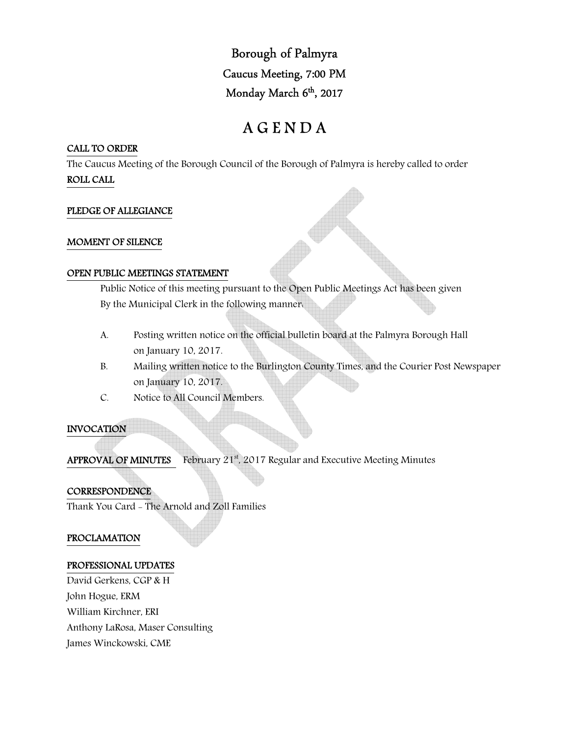Borough of Palmyra Caucus Meeting, 7:00 PM Monday March 6<sup>th</sup>, 2017

# A G E N D A

#### CALL TO ORDER

The Caucus Meeting of the Borough Council of the Borough of Palmyra is hereby called to order ROLL CALL

#### PLEDGE OF ALLEGIANCE

#### MOMENT OF SILENCE

#### OPEN PUBLIC MEETINGS STATEMENT

 Public Notice of this meeting pursuant to the Open Public Meetings Act has been given By the Municipal Clerk in the following manner:

- A. Posting written notice on the official bulletin board at the Palmyra Borough Hall on January 10, 2017.
- B. Mailing written notice to the Burlington County Times, and the Courier Post Newspaper on January 10, 2017.
- C. Notice to All Council Members.

#### INVOCATION

APPROVAL OF MINUTES February 21<sup>st</sup>, 2017 Regular and Executive Meeting Minutes

#### **CORRESPONDENCE**

Thank You Card - The Arnold and Zoll Families

#### PROCLAMATION

#### PROFESSIONAL UPDATES

David Gerkens, CGP & H John Hogue, ERM William Kirchner, ERI Anthony LaRosa, Maser Consulting James Winckowski, CME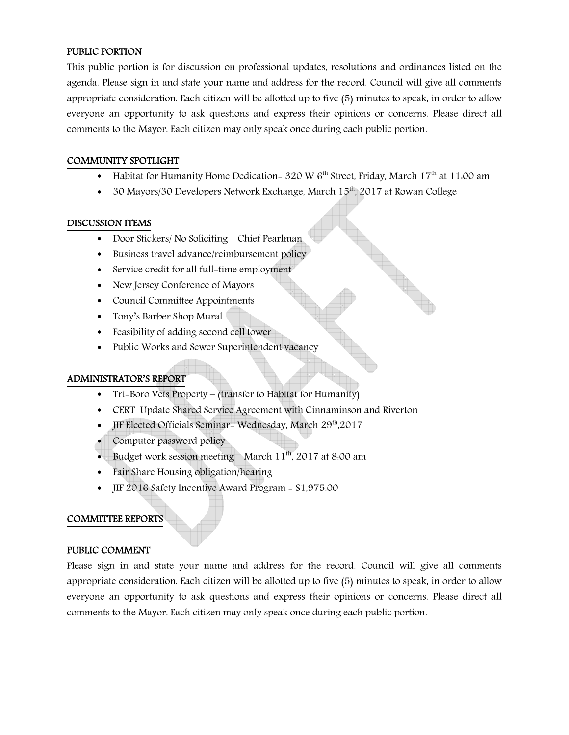#### PUBLIC PORTION

This public portion is for discussion on professional updates, resolutions and ordinances listed on the agenda. Please sign in and state your name and address for the record. Council will give all comments appropriate consideration. Each citizen will be allotted up to five (5) minutes to speak, in order to allow everyone an opportunity to ask questions and express their opinions or concerns. Please direct all comments to the Mayor. Each citizen may only speak once during each public portion.

#### COMMUNITY SPOTLIGHT

- Habitat for Humanity Home Dedication 320 W  $6<sup>th</sup>$  Street, Friday, March 17<sup>th</sup> at 11:00 am
- 30 Mayors/30 Developers Network Exchange, March  $15<sup>th</sup>$ , 2017 at Rowan College

#### DISCUSSION ITEMS

- Door Stickers/ No Soliciting Chief Pearlman
- Business travel advance/reimbursement policy
- Service credit for all full-time employment
- New Jersey Conference of Mayors
- Council Committee Appointments
- Tony's Barber Shop Mural
- Feasibility of adding second cell tower
- Public Works and Sewer Superintendent vacancy

#### ADMINISTRATOR'S REPORT

- Tri-Boro Vets Property (transfer to Habitat for Humanity)
- CERT Update Shared Service Agreement with Cinnaminson and Riverton
- JIF Elected Officials Seminar Wednesday, March  $29<sup>th</sup>$ ,2017
- Computer password policy
- Budget work session meeting March  $11<sup>th</sup>$ , 2017 at 8:00 am
- Fair Share Housing obligation/hearing
- JIF 2016 Safety Incentive Award Program \$1,975.00

#### COMMITTEE REPORTS

#### PUBLIC COMMENT

Please sign in and state your name and address for the record. Council will give all comments appropriate consideration. Each citizen will be allotted up to five (5) minutes to speak, in order to allow everyone an opportunity to ask questions and express their opinions or concerns. Please direct all comments to the Mayor. Each citizen may only speak once during each public portion.